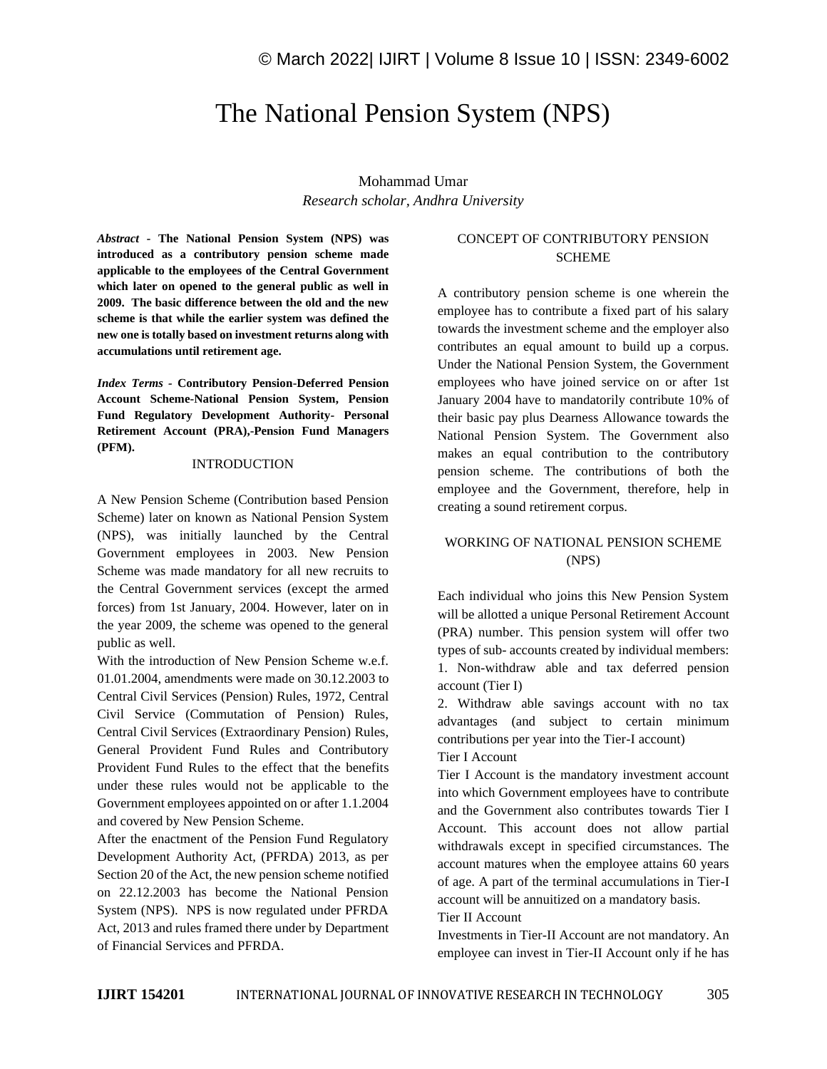# The National Pension System (NPS)

Mohammad Umar *Research scholar, Andhra University*

*Abstract -* **The National Pension System (NPS) was introduced as a contributory pension scheme made applicable to the employees of the Central Government which later on opened to the general public as well in 2009. The basic difference between the old and the new scheme is that while the earlier system was defined the new one is totally based on investment returns along with accumulations until retirement age.**

*Index Terms -* **Contributory Pension-Deferred Pension Account Scheme-National Pension System, Pension Fund Regulatory Development Authority- Personal Retirement Account (PRA),-Pension Fund Managers (PFM).**

#### **INTRODUCTION**

A New Pension Scheme (Contribution based Pension Scheme) later on known as National Pension System (NPS), was initially launched by the Central Government employees in 2003. New Pension Scheme was made mandatory for all new recruits to the Central Government services (except the armed forces) from 1st January, 2004. However, later on in the year 2009, the scheme was opened to the general public as well.

With the introduction of New Pension Scheme w.e.f. 01.01.2004, amendments were made on 30.12.2003 to Central Civil Services (Pension) Rules, 1972, Central Civil Service (Commutation of Pension) Rules, Central Civil Services (Extraordinary Pension) Rules, General Provident Fund Rules and Contributory Provident Fund Rules to the effect that the benefits under these rules would not be applicable to the Government employees appointed on or after 1.1.2004 and covered by New Pension Scheme.

After the enactment of the Pension Fund Regulatory Development Authority Act, (PFRDA) 2013, as per Section 20 of the Act, the new pension scheme notified on 22.12.2003 has become the National Pension System (NPS). NPS is now regulated under PFRDA Act, 2013 and rules framed there under by Department of Financial Services and PFRDA.

# CONCEPT OF CONTRIBUTORY PENSION **SCHEME**

A contributory pension scheme is one wherein the employee has to contribute a fixed part of his salary towards the investment scheme and the employer also contributes an equal amount to build up a corpus. Under the National Pension System, the Government employees who have joined service on or after 1st January 2004 have to mandatorily contribute 10% of their basic pay plus Dearness Allowance towards the National Pension System. The Government also makes an equal contribution to the contributory pension scheme. The contributions of both the employee and the Government, therefore, help in creating a sound retirement corpus.

### WORKING OF NATIONAL PENSION SCHEME (NPS)

Each individual who joins this New Pension System will be allotted a unique Personal Retirement Account (PRA) number. This pension system will offer two types of sub- accounts created by individual members: 1. Non-withdraw able and tax deferred pension account (Tier I)

2. Withdraw able savings account with no tax advantages (and subject to certain minimum contributions per year into the Tier-I account)

# Tier I Account

Tier I Account is the mandatory investment account into which Government employees have to contribute and the Government also contributes towards Tier I Account. This account does not allow partial withdrawals except in specified circumstances. The account matures when the employee attains 60 years of age. A part of the terminal accumulations in Tier-I account will be annuitized on a mandatory basis.

#### Tier II Account

Investments in Tier-II Account are not mandatory. An employee can invest in Tier-II Account only if he has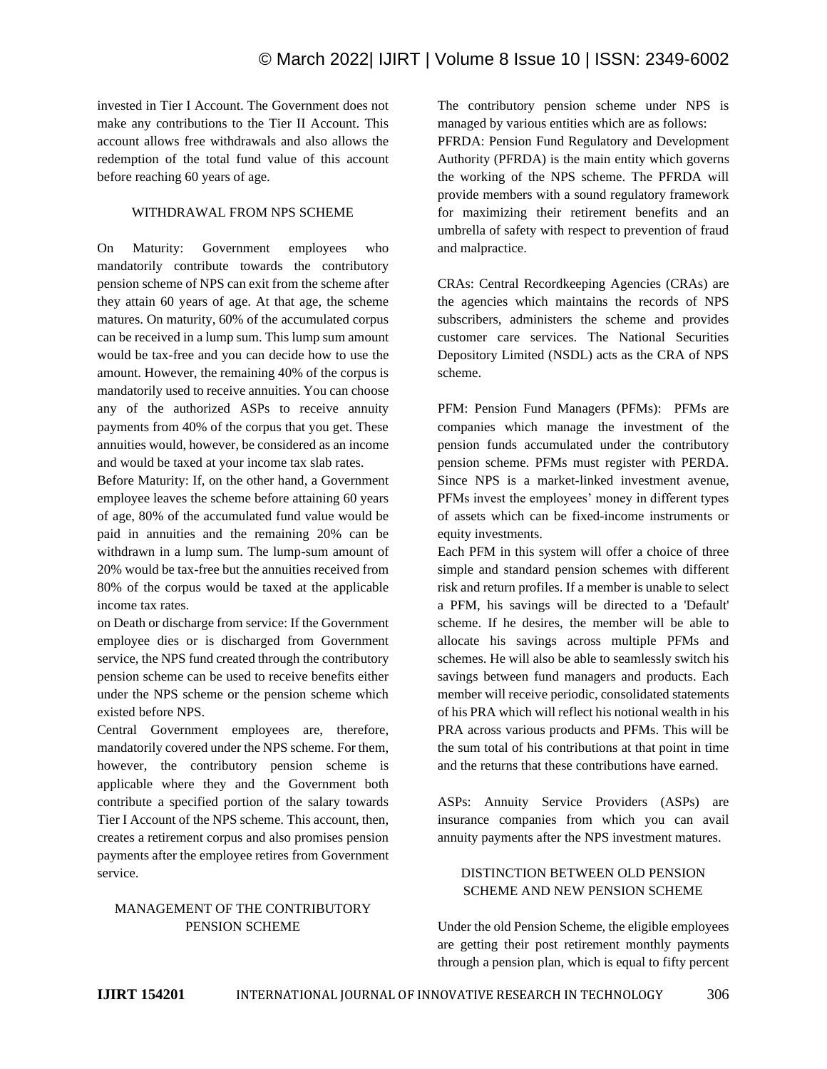invested in Tier I Account. The Government does not make any contributions to the Tier II Account. This account allows free withdrawals and also allows the redemption of the total fund value of this account before reaching 60 years of age.

### WITHDRAWAL FROM NPS SCHEME

On Maturity: Government employees who mandatorily contribute towards the contributory pension scheme of NPS can exit from the scheme after they attain 60 years of age. At that age, the scheme matures. On maturity, 60% of the accumulated corpus can be received in a lump sum. This lump sum amount would be tax-free and you can decide how to use the amount. However, the remaining 40% of the corpus is mandatorily used to receive annuities. You can choose any of the authorized ASPs to receive annuity payments from 40% of the corpus that you get. These annuities would, however, be considered as an income and would be taxed at your income tax slab rates.

Before Maturity: If, on the other hand, a Government employee leaves the scheme before attaining 60 years of age, 80% of the accumulated fund value would be paid in annuities and the remaining 20% can be withdrawn in a lump sum. The lump-sum amount of 20% would be tax-free but the annuities received from 80% of the corpus would be taxed at the applicable income tax rates.

on Death or discharge from service: If the Government employee dies or is discharged from Government service, the NPS fund created through the contributory pension scheme can be used to receive benefits either under the NPS scheme or the pension scheme which existed before NPS.

Central Government employees are, therefore, mandatorily covered under the NPS scheme. For them, however, the contributory pension scheme is applicable where they and the Government both contribute a specified portion of the salary towards Tier I Account of the NPS scheme. This account, then, creates a retirement corpus and also promises pension payments after the employee retires from Government service.

#### MANAGEMENT OF THE CONTRIBUTORY PENSION SCHEME

The contributory pension scheme under NPS is managed by various entities which are as follows:

PFRDA: Pension Fund Regulatory and Development Authority (PFRDA) is the main entity which governs the working of the NPS scheme. The PFRDA will provide members with a sound regulatory framework for maximizing their retirement benefits and an umbrella of safety with respect to prevention of fraud and malpractice.

CRAs: Central Recordkeeping Agencies (CRAs) are the agencies which maintains the records of NPS subscribers, administers the scheme and provides customer care services. The National Securities Depository Limited (NSDL) acts as the CRA of NPS scheme.

PFM: Pension Fund Managers (PFMs): PFMs are companies which manage the investment of the pension funds accumulated under the contributory pension scheme. PFMs must register with PERDA. Since NPS is a market-linked investment avenue, PFMs invest the employees' money in different types of assets which can be fixed-income instruments or equity investments.

Each PFM in this system will offer a choice of three simple and standard pension schemes with different risk and return profiles. If a member is unable to select a PFM, his savings will be directed to a 'Default' scheme. If he desires, the member will be able to allocate his savings across multiple PFMs and schemes. He will also be able to seamlessly switch his savings between fund managers and products. Each member will receive periodic, consolidated statements of his PRA which will reflect his notional wealth in his PRA across various products and PFMs. This will be the sum total of his contributions at that point in time and the returns that these contributions have earned.

ASPs: Annuity Service Providers (ASPs) are insurance companies from which you can avail annuity payments after the NPS investment matures.

#### DISTINCTION BETWEEN OLD PENSION SCHEME AND NEW PENSION SCHEME

Under the old Pension Scheme, the eligible employees are getting their post retirement monthly payments through a pension plan, which is equal to fifty percent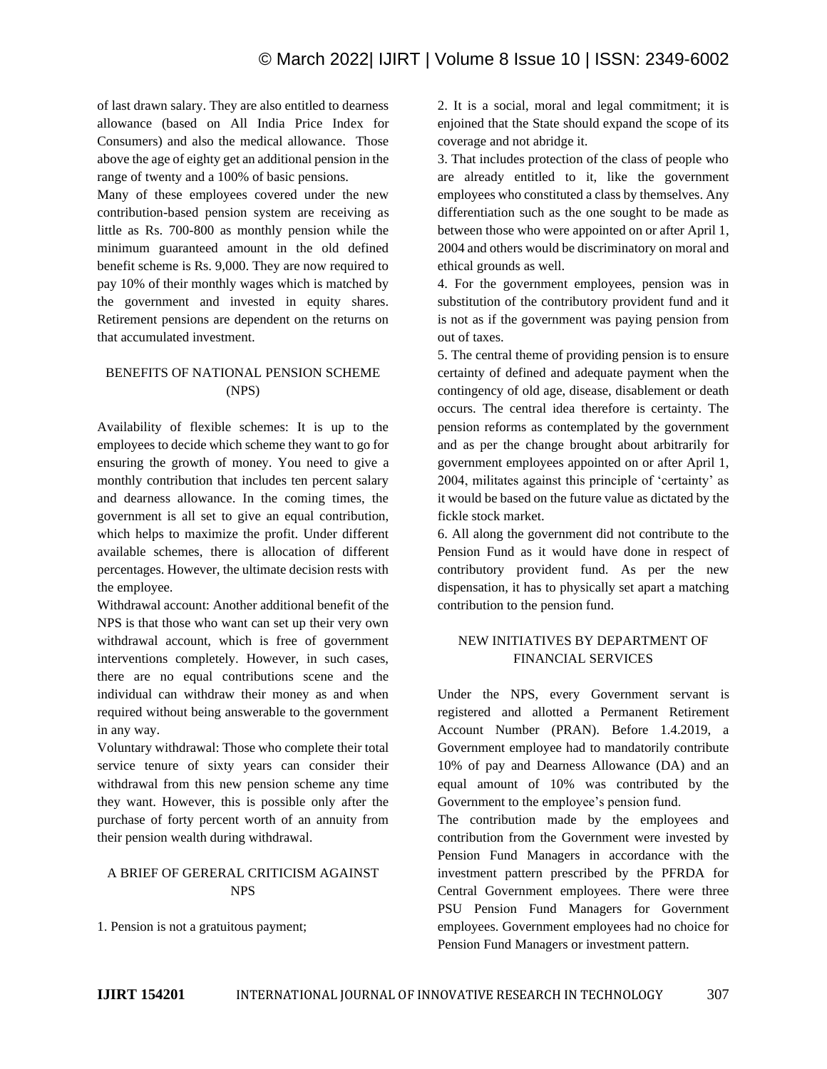of last drawn salary. They are also entitled to dearness allowance (based on All India Price Index for Consumers) and also the medical allowance. Those above the age of eighty get an additional pension in the range of twenty and a 100% of basic pensions.

Many of these employees covered under the new contribution-based pension system are receiving as little as Rs. 700-800 as monthly pension while the minimum guaranteed amount in the old defined benefit scheme is Rs. 9,000. They are now required to pay 10% of their monthly wages which is matched by the government and invested in equity shares. Retirement pensions are dependent on the returns on that accumulated investment.

# BENEFITS OF NATIONAL PENSION SCHEME (NPS)

Availability of flexible schemes: It is up to the employees to decide which scheme they want to go for ensuring the growth of money. You need to give a monthly contribution that includes ten percent salary and dearness allowance. In the coming times, the government is all set to give an equal contribution, which helps to maximize the profit. Under different available schemes, there is allocation of different percentages. However, the ultimate decision rests with the employee.

Withdrawal account: Another additional benefit of the NPS is that those who want can set up their very own withdrawal account, which is free of government interventions completely. However, in such cases, there are no equal contributions scene and the individual can withdraw their money as and when required without being answerable to the government in any way.

Voluntary withdrawal: Those who complete their total service tenure of sixty years can consider their withdrawal from this new pension scheme any time they want. However, this is possible only after the purchase of forty percent worth of an annuity from their pension wealth during withdrawal.

# A BRIEF OF GERERAL CRITICISM AGAINST NPS

1. Pension is not a gratuitous payment;

2. It is a social, moral and legal commitment; it is enjoined that the State should expand the scope of its coverage and not abridge it.

3. That includes protection of the class of people who are already entitled to it, like the government employees who constituted a class by themselves. Any differentiation such as the one sought to be made as between those who were appointed on or after April 1, 2004 and others would be discriminatory on moral and ethical grounds as well.

4. For the government employees, pension was in substitution of the contributory provident fund and it is not as if the government was paying pension from out of taxes.

5. The central theme of providing pension is to ensure certainty of defined and adequate payment when the contingency of old age, disease, disablement or death occurs. The central idea therefore is certainty. The pension reforms as contemplated by the government and as per the change brought about arbitrarily for government employees appointed on or after April 1, 2004, militates against this principle of 'certainty' as it would be based on the future value as dictated by the fickle stock market.

6. All along the government did not contribute to the Pension Fund as it would have done in respect of contributory provident fund. As per the new dispensation, it has to physically set apart a matching contribution to the pension fund.

# NEW INITIATIVES BY DEPARTMENT OF FINANCIAL SERVICES

Under the NPS, every Government servant is registered and allotted a Permanent Retirement Account Number (PRAN). Before 1.4.2019, a Government employee had to mandatorily contribute 10% of pay and Dearness Allowance (DA) and an equal amount of 10% was contributed by the Government to the employee's pension fund.

The contribution made by the employees and contribution from the Government were invested by Pension Fund Managers in accordance with the investment pattern prescribed by the PFRDA for Central Government employees. There were three PSU Pension Fund Managers for Government employees. Government employees had no choice for Pension Fund Managers or investment pattern.